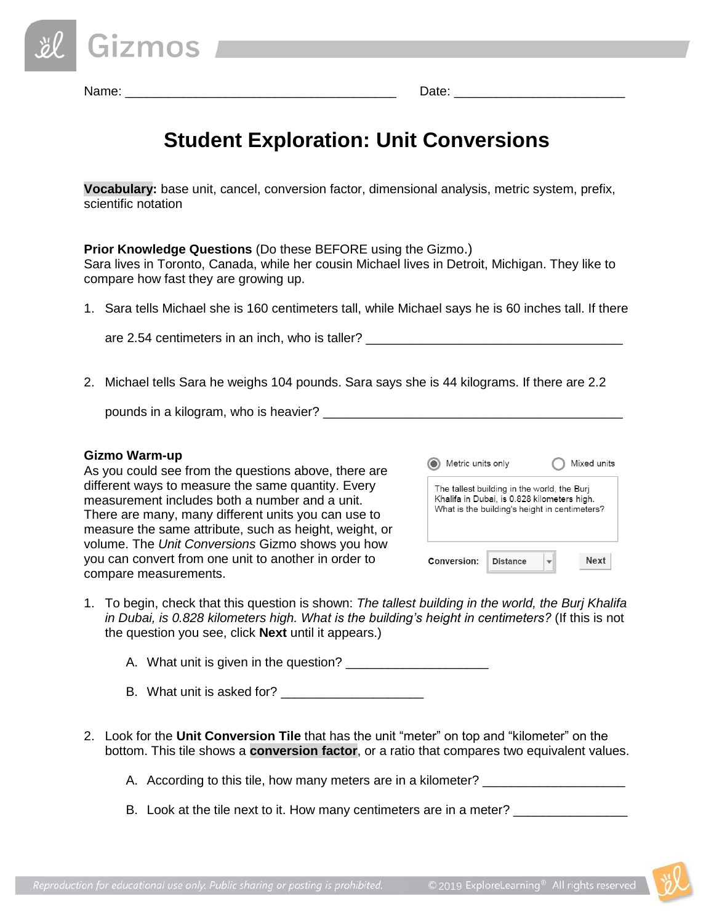| <i>&amp;</i> Gizmos |  |  |
|---------------------|--|--|
|                     |  |  |

Name: \_\_\_\_\_\_\_\_\_\_\_\_\_\_\_\_\_\_\_\_\_\_\_\_\_\_\_\_\_\_\_\_\_\_\_\_\_\_ Date: \_\_\_\_\_\_\_\_\_\_\_\_\_\_\_\_\_\_\_\_\_\_\_\_

# **Student Exploration: Unit Conversions**

**Vocabulary:** base unit, cancel, conversion factor, dimensional analysis, metric system, prefix, scientific notation

**Prior Knowledge Questions** (Do these BEFORE using the Gizmo.) Sara lives in Toronto, Canada, while her cousin Michael lives in Detroit, Michigan. They like to compare how fast they are growing up.

1. Sara tells Michael she is 160 centimeters tall, while Michael says he is 60 inches tall. If there

are 2.54 centimeters in an inch, who is taller?

2. Michael tells Sara he weighs 104 pounds. Sara says she is 44 kilograms. If there are 2.2

pounds in a kilogram, who is heavier?  $\overline{\phantom{a}}$ 

### **Gizmo Warm-up**

As you could see from the questions above, there are different ways to measure the same quantity. Every measurement includes both a number and a unit. There are many, many different units you can use to measure the same attribute, such as height, weight, or volume. The *Unit Conversions* Gizmo shows you how you can convert from one unit to another in order to compare measurements.

| Metric units only                                                                                                                           |                 |  | Mixed units |
|---------------------------------------------------------------------------------------------------------------------------------------------|-----------------|--|-------------|
| The tallest building in the world, the Buri<br>Khalifa in Dubai, is 0.828 kilometers high.<br>What is the building's height in centimeters? |                 |  |             |
| Conversion:                                                                                                                                 | <b>Distance</b> |  | Next        |

1. To begin, check that this question is shown: *The tallest building in the world, the Burj Khalifa in Dubai, is 0.828 kilometers high. What is the building's height in centimeters?* (If this is not the question you see, click **Next** until it appears.)

A. What unit is given in the question?

- B. What unit is asked for?
- 2. Look for the **Unit Conversion Tile** that has the unit "meter" on top and "kilometer" on the bottom. This tile shows a **conversion factor**, or a ratio that compares two equivalent values.

A. According to this tile, how many meters are in a kilometer?

B. Look at the tile next to it. How many centimeters are in a meter?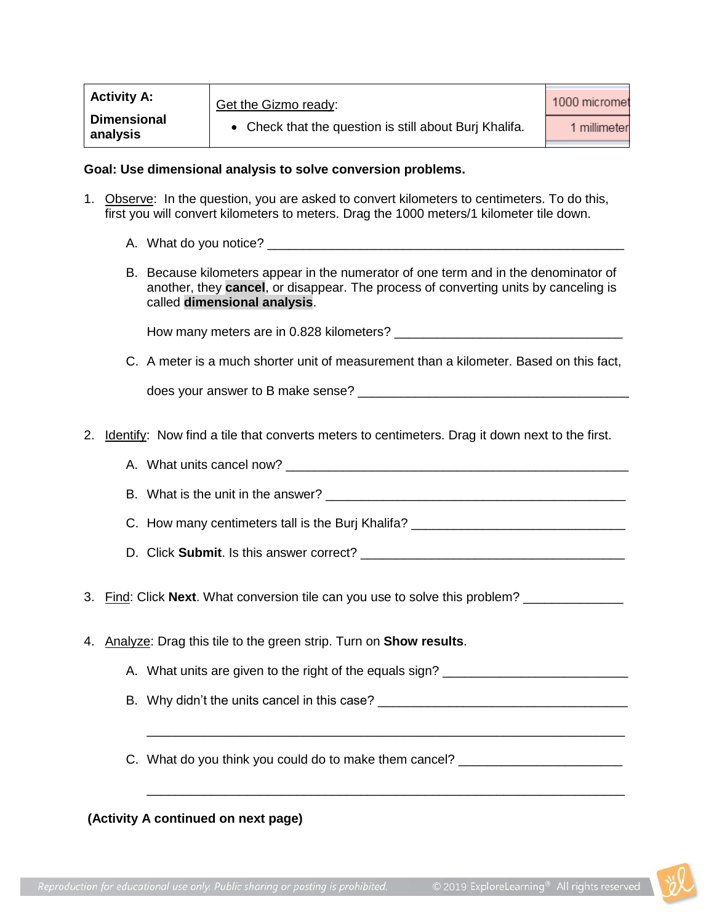| <b>Activity A:</b>             | Get the Gizmo ready:                                 | 1000 micromet |
|--------------------------------|------------------------------------------------------|---------------|
| <b>Dimensional</b><br>analysis | Check that the question is still about Burj Khalifa. | 1 millimeter  |

#### **Goal: Use dimensional analysis to solve conversion problems.**

- 1. Observe: In the question, you are asked to convert kilometers to centimeters. To do this, first you will convert kilometers to meters. Drag the 1000 meters/1 kilometer tile down.
	- A. What do you notice?
	- B. Because kilometers appear in the numerator of one term and in the denominator of another, they **cancel**, or disappear. The process of converting units by canceling is called **dimensional analysis**.

How many meters are in 0.828 kilometers? \_\_\_\_\_\_\_\_\_\_\_\_\_\_\_\_\_\_\_\_\_\_\_\_\_\_\_\_\_\_\_\_

C. A meter is a much shorter unit of measurement than a kilometer. Based on this fact,

does your answer to B make sense?

- 2. Identify: Now find a tile that converts meters to centimeters. Drag it down next to the first.
	- A. What units cancel now? **Example 20** and the set of the set of the set of the set of the set of the set of the set of the set of the set of the set of the set of the set of the set of the set of the set of the set of the
	- B. What is the unit in the answer?

C. How many centimeters tall is the Burj Khalifa? \_\_\_\_\_\_\_\_\_\_\_\_\_\_\_\_\_\_\_\_\_\_\_\_\_\_\_\_\_\_

- D. Click **Submit**. Is this answer correct? \_\_\_\_\_\_\_\_\_\_\_\_\_\_\_\_\_\_\_\_\_\_\_\_\_\_\_\_\_\_\_\_\_\_\_\_\_
- 3. Find: Click Next. What conversion tile can you use to solve this problem? \_\_\_\_\_\_\_\_\_\_\_\_\_\_\_\_\_\_\_\_\_\_\_
- 4. Analyze: Drag this tile to the green strip. Turn on **Show results**.
	- A. What units are given to the right of the equals sign? \_\_\_\_\_\_\_\_\_\_\_\_\_\_\_\_\_\_\_\_\_\_\_
	- B. Why didn't the units cancel in this case?

\_\_\_\_\_\_\_\_\_\_\_\_\_\_\_\_\_\_\_\_\_\_\_\_\_\_\_\_\_\_\_\_\_\_\_\_\_\_\_\_\_\_\_\_\_\_\_\_\_\_\_\_\_\_\_\_\_\_\_\_\_\_\_\_\_\_\_

\_\_\_\_\_\_\_\_\_\_\_\_\_\_\_\_\_\_\_\_\_\_\_\_\_\_\_\_\_\_\_\_\_\_\_\_\_\_\_\_\_\_\_\_\_\_\_\_\_\_\_\_\_\_\_\_\_\_\_\_\_\_\_\_\_\_\_

C. What do you think you could do to make them cancel? \_\_\_\_\_\_\_\_\_\_\_\_\_\_\_\_\_\_\_\_\_\_\_\_\_

## **(Activity A continued on next page)**

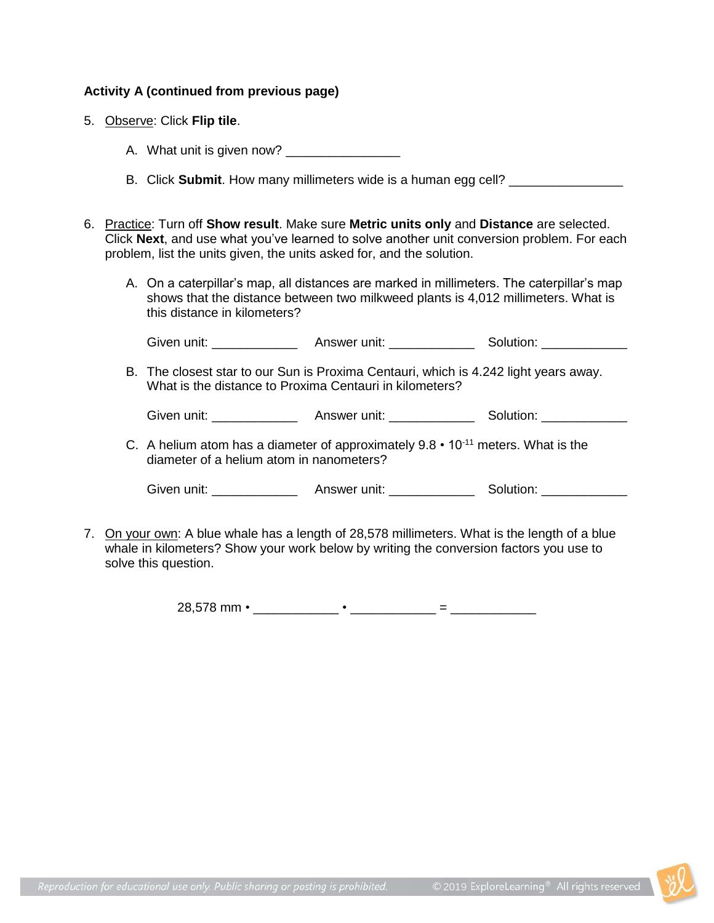## **Activity A (continued from previous page)**

- 5. Observe: Click **Flip tile**.
	- A. What unit is given now?
	- B. Click **Submit**. How many millimeters wide is a human egg cell? \_\_\_\_\_\_\_\_\_\_\_\_\_\_\_
- 6. Practice: Turn off **Show result**. Make sure **Metric units only** and **Distance** are selected. Click **Next**, and use what you've learned to solve another unit conversion problem. For each problem, list the units given, the units asked for, and the solution.
	- A. On a caterpillar's map, all distances are marked in millimeters. The caterpillar's map shows that the distance between two milkweed plants is 4,012 millimeters. What is this distance in kilometers?

Given unit: \_\_\_\_\_\_\_\_\_\_\_\_\_\_\_\_\_\_\_ Answer unit: \_\_\_\_\_\_\_\_\_\_\_\_\_ Solution:

B. The closest star to our Sun is Proxima Centauri, which is 4.242 light years away. What is the distance to Proxima Centauri in kilometers?

Given unit: \_\_\_\_\_\_\_\_\_\_\_\_ Answer unit: \_\_\_\_\_\_\_\_\_\_\_\_ Solution: \_\_\_\_\_\_\_\_\_\_\_\_

C. A helium atom has a diameter of approximately  $9.8 \cdot 10^{-11}$  meters. What is the diameter of a helium atom in nanometers?

Given unit: The Collection Answer unit: The Solution: Solution:

7. On your own: A blue whale has a length of 28,578 millimeters. What is the length of a blue whale in kilometers? Show your work below by writing the conversion factors you use to solve this question.

28,578 mm • \_\_\_\_\_\_\_\_\_\_\_\_ • \_\_\_\_\_\_\_\_\_\_\_\_ = \_\_\_\_\_\_\_\_\_\_\_\_

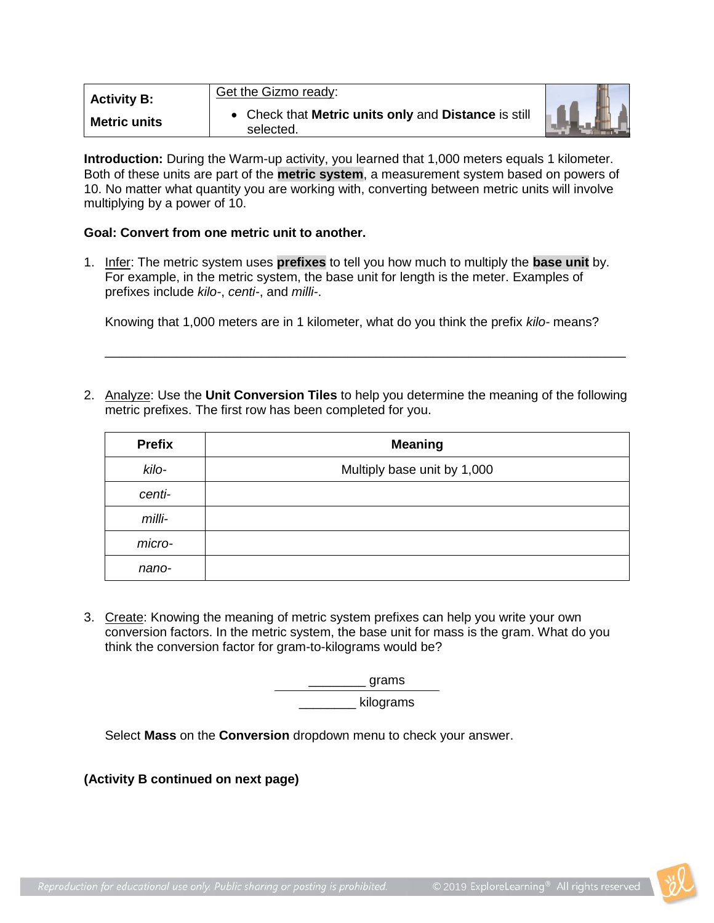| <b>Activity B:</b>  | Get the Gizmo ready:                                              |  |
|---------------------|-------------------------------------------------------------------|--|
| <b>Metric units</b> | • Check that Metric units only and Distance is still<br>selected. |  |

**Introduction:** During the Warm-up activity, you learned that 1,000 meters equals 1 kilometer. Both of these units are part of the **metric system**, a measurement system based on powers of 10. No matter what quantity you are working with, converting between metric units will involve multiplying by a power of 10.

#### **Goal: Convert from one metric unit to another.**

1. Infer: The metric system uses **prefixes** to tell you how much to multiply the **base unit** by. For example, in the metric system, the base unit for length is the meter. Examples of prefixes include *kilo-*, *centi-*, and *milli-*.

Knowing that 1,000 meters are in 1 kilometer, what do you think the prefix *kilo-* means?

2. Analyze: Use the **Unit Conversion Tiles** to help you determine the meaning of the following metric prefixes. The first row has been completed for you.

\_\_\_\_\_\_\_\_\_\_\_\_\_\_\_\_\_\_\_\_\_\_\_\_\_\_\_\_\_\_\_\_\_\_\_\_\_\_\_\_\_\_\_\_\_\_\_\_\_\_\_\_\_\_\_\_\_\_\_\_\_\_\_\_\_\_\_\_\_\_\_\_\_

| <b>Prefix</b> | <b>Meaning</b>              |
|---------------|-----------------------------|
| kilo-         | Multiply base unit by 1,000 |
| centi-        |                             |
| milli-        |                             |
| micro-        |                             |
| nano-         |                             |

3. Create: Knowing the meaning of metric system prefixes can help you write your own conversion factors. In the metric system, the base unit for mass is the gram. What do you think the conversion factor for gram-to-kilograms would be?

> $\_$  grams \_\_\_\_\_\_\_\_ kilograms

Select **Mass** on the **Conversion** dropdown menu to check your answer.

**(Activity B continued on next page)**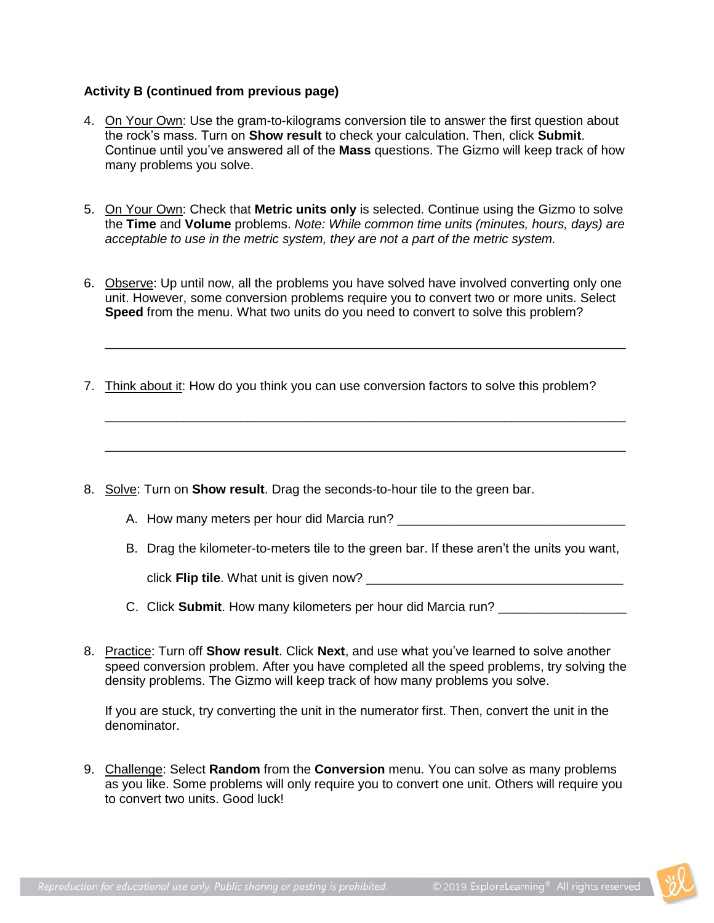## **Activity B (continued from previous page)**

- 4. On Your Own: Use the gram-to-kilograms conversion tile to answer the first question about the rock's mass. Turn on **Show result** to check your calculation. Then, click **Submit**. Continue until you've answered all of the **Mass** questions. The Gizmo will keep track of how many problems you solve.
- 5. On Your Own: Check that **Metric units only** is selected. Continue using the Gizmo to solve the **Time** and **Volume** problems. *Note: While common time units (minutes, hours, days) are acceptable to use in the metric system, they are not a part of the metric system.*
- 6. Observe: Up until now, all the problems you have solved have involved converting only one unit. However, some conversion problems require you to convert two or more units. Select **Speed** from the menu. What two units do you need to convert to solve this problem?

\_\_\_\_\_\_\_\_\_\_\_\_\_\_\_\_\_\_\_\_\_\_\_\_\_\_\_\_\_\_\_\_\_\_\_\_\_\_\_\_\_\_\_\_\_\_\_\_\_\_\_\_\_\_\_\_\_\_\_\_\_\_\_\_\_\_\_\_\_\_\_\_\_

\_\_\_\_\_\_\_\_\_\_\_\_\_\_\_\_\_\_\_\_\_\_\_\_\_\_\_\_\_\_\_\_\_\_\_\_\_\_\_\_\_\_\_\_\_\_\_\_\_\_\_\_\_\_\_\_\_\_\_\_\_\_\_\_\_\_\_\_\_\_\_\_\_

\_\_\_\_\_\_\_\_\_\_\_\_\_\_\_\_\_\_\_\_\_\_\_\_\_\_\_\_\_\_\_\_\_\_\_\_\_\_\_\_\_\_\_\_\_\_\_\_\_\_\_\_\_\_\_\_\_\_\_\_\_\_\_\_\_\_\_\_\_\_\_\_\_

- 7. Think about it: How do you think you can use conversion factors to solve this problem?
- 8. Solve: Turn on **Show result**. Drag the seconds-to-hour tile to the green bar.
	- A. How many meters per hour did Marcia run?
	- B. Drag the kilometer-to-meters tile to the green bar. If these aren't the units you want,

click **Flip tile**. What unit is given now? \_\_\_\_\_\_\_\_\_\_\_\_\_\_\_\_\_\_\_\_\_\_\_\_\_\_\_\_\_\_\_\_\_\_\_\_

- C. Click **Submit**. How many kilometers per hour did Marcia run? \_\_\_\_\_\_\_\_\_\_\_\_\_\_\_\_\_
- 8. Practice: Turn off **Show result**. Click **Next**, and use what you've learned to solve another speed conversion problem. After you have completed all the speed problems, try solving the density problems. The Gizmo will keep track of how many problems you solve.

If you are stuck, try converting the unit in the numerator first. Then, convert the unit in the denominator.

9. Challenge: Select **Random** from the **Conversion** menu. You can solve as many problems as you like. Some problems will only require you to convert one unit. Others will require you to convert two units. Good luck!

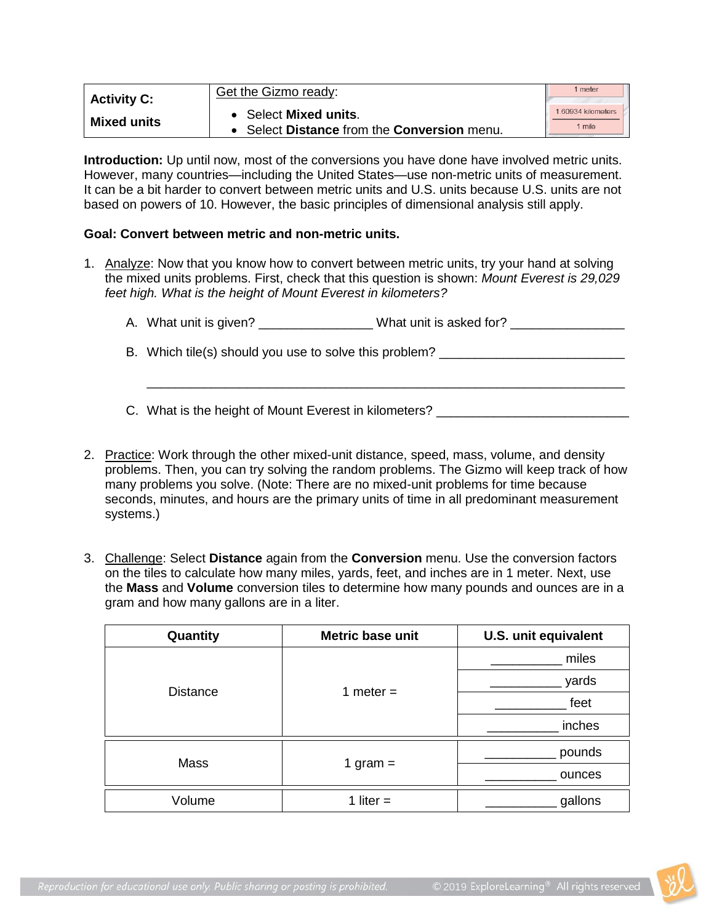| <b>Activity C:</b> | Get the Gizmo ready:                      | 1 meter           |
|--------------------|-------------------------------------------|-------------------|
|                    | <b>Select Mixed units.</b>                | 160934 kilometers |
| <b>Mixed units</b> | Select Distance from the Conversion menu. | 1 mile            |

**Introduction:** Up until now, most of the conversions you have done have involved metric units. However, many countries—including the United States—use non-metric units of measurement. It can be a bit harder to convert between metric units and U.S. units because U.S. units are not based on powers of 10. However, the basic principles of dimensional analysis still apply.

### **Goal: Convert between metric and non-metric units.**

1. Analyze: Now that you know how to convert between metric units, try your hand at solving the mixed units problems. First, check that this question is shown: *Mount Everest is 29,029 feet high. What is the height of Mount Everest in kilometers?*

| A. What unit is given?                                 | What unit is asked for? |
|--------------------------------------------------------|-------------------------|
| B. Which tile(s) should you use to solve this problem? |                         |
|                                                        |                         |

C. What is the height of Mount Everest in kilometers?

- 2. Practice: Work through the other mixed-unit distance, speed, mass, volume, and density problems. Then, you can try solving the random problems. The Gizmo will keep track of how many problems you solve. (Note: There are no mixed-unit problems for time because seconds, minutes, and hours are the primary units of time in all predominant measurement systems.)
- 3. Challenge: Select **Distance** again from the **Conversion** menu. Use the conversion factors on the tiles to calculate how many miles, yards, feet, and inches are in 1 meter. Next, use the **Mass** and **Volume** conversion tiles to determine how many pounds and ounces are in a gram and how many gallons are in a liter.

| Quantity        | Metric base unit | U.S. unit equivalent |
|-----------------|------------------|----------------------|
|                 |                  | miles                |
| <b>Distance</b> | 1 meter $=$      | yards                |
|                 |                  | feet                 |
|                 |                  | inches               |
| Mass            |                  | pounds               |
|                 | 1 gram $=$       | ounces               |
| Volume          | 1 liter $=$      | gallons              |

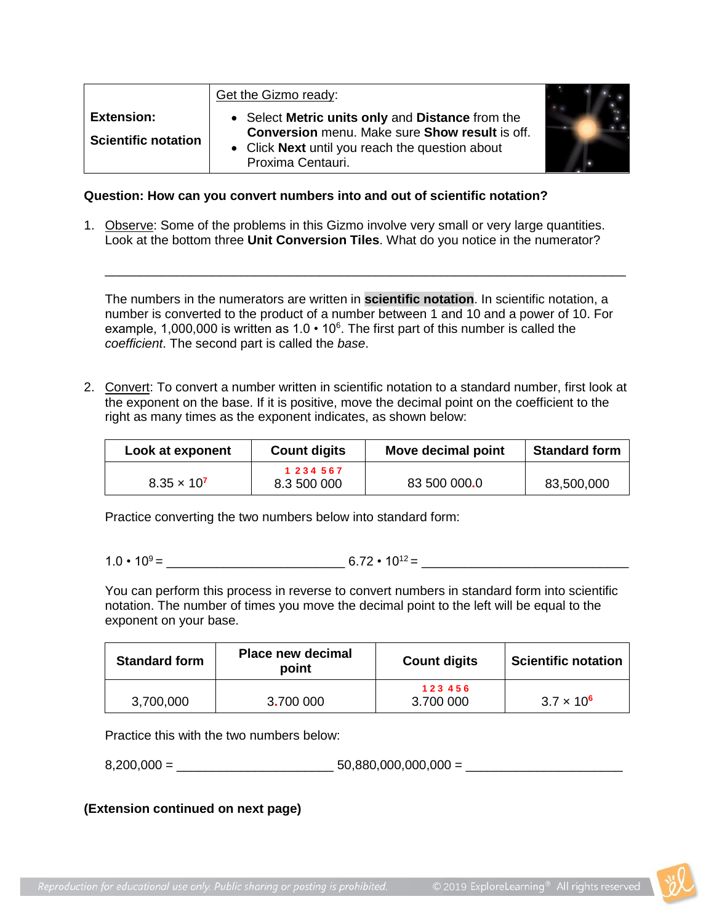|                                                 | Get the Gizmo ready:                                                                                                                                                     |  |
|-------------------------------------------------|--------------------------------------------------------------------------------------------------------------------------------------------------------------------------|--|
| <b>Extension:</b><br><b>Scientific notation</b> | Select Metric units only and Distance from the<br>Conversion menu. Make sure Show result is off.<br>• Click Next until you reach the question about<br>Proxima Centauri. |  |

### **Question: How can you convert numbers into and out of scientific notation?**

1. Observe: Some of the problems in this Gizmo involve very small or very large quantities. Look at the bottom three **Unit Conversion Tiles**. What do you notice in the numerator?

The numbers in the numerators are written in **scientific notation**. In scientific notation, a number is converted to the product of a number between 1 and 10 and a power of 10. For example, 1,000,000 is written as  $1.0 \cdot 10^6$ . The first part of this number is called the *coefficient*. The second part is called the *base*.

\_\_\_\_\_\_\_\_\_\_\_\_\_\_\_\_\_\_\_\_\_\_\_\_\_\_\_\_\_\_\_\_\_\_\_\_\_\_\_\_\_\_\_\_\_\_\_\_\_\_\_\_\_\_\_\_\_\_\_\_\_\_\_\_\_\_\_\_\_\_\_\_\_

2. Convert: To convert a number written in scientific notation to a standard number, first look at the exponent on the base. If it is positive, move the decimal point on the coefficient to the right as many times as the exponent indicates, as shown below:

| Look at exponent     | <b>Count digits</b>          | Move decimal point | <b>Standard form</b> |
|----------------------|------------------------------|--------------------|----------------------|
| $8.35 \times 10^{7}$ | 1 2 3 4 5 6 7<br>8.3 500 000 | 83 500 000.0       | 83,500,000           |
|                      |                              |                    |                      |

Practice converting the two numbers below into standard form:

 $1.0 \cdot 10^9 = 6.72 \cdot 10^{12} =$ 

You can perform this process in reverse to convert numbers in standard form into scientific notation. The number of times you move the decimal point to the left will be equal to the exponent on your base.

| <b>Standard form</b> | <b>Place new decimal</b><br>point | <b>Count digits</b> | <b>Scientific notation</b> |
|----------------------|-----------------------------------|---------------------|----------------------------|
| 3,700,000            | 3.700 000                         | 123456<br>3.700 000 | $3.7 \times 10^{6}$        |

Practice this with the two numbers below:

 $8,200,000 = 50,880,000,000,000 =$ 

**(Extension continued on next page)**